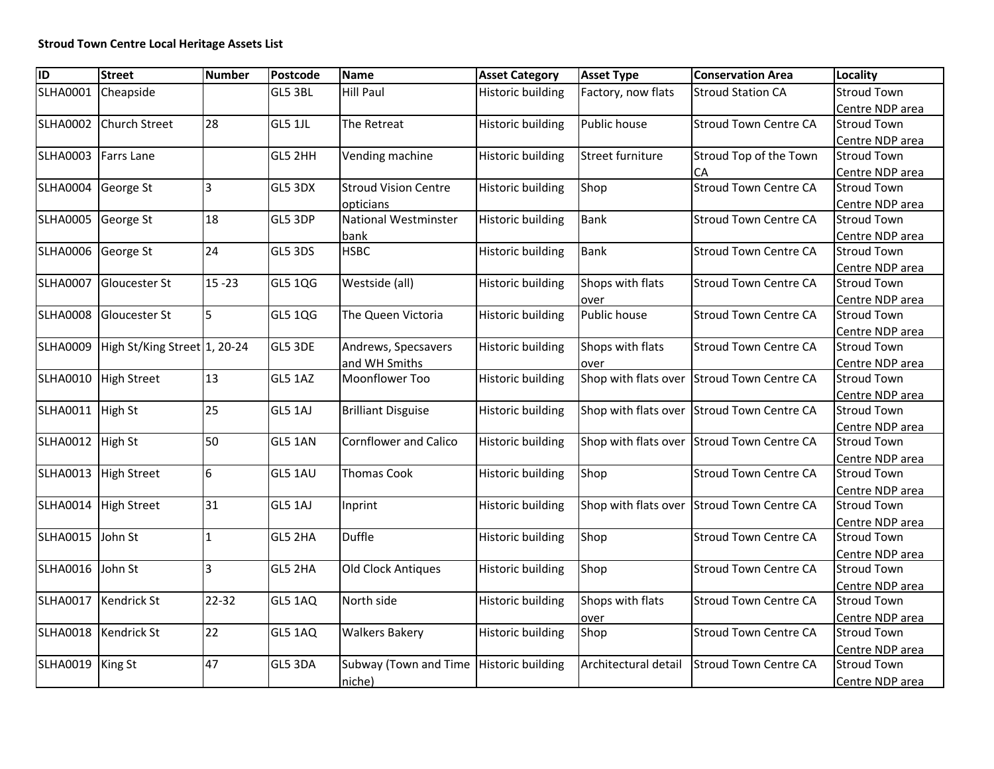| $\overline{ID}$ | <b>Street</b>                | <b>Number</b>   | Postcode       | <b>Name</b>                             | <b>Asset Category</b>    | <b>Asset Type</b>    | <b>Conservation Area</b>                   | Locality           |
|-----------------|------------------------------|-----------------|----------------|-----------------------------------------|--------------------------|----------------------|--------------------------------------------|--------------------|
| <b>SLHA0001</b> | Cheapside                    |                 | GL5 3BL        | <b>Hill Paul</b>                        | <b>Historic building</b> | Factory, now flats   | <b>Stroud Station CA</b>                   | <b>Stroud Town</b> |
|                 |                              |                 |                |                                         |                          |                      |                                            | Centre NDP area    |
| <b>SLHA0002</b> | <b>Church Street</b>         | 28              | GL5 1JL        | The Retreat                             | <b>Historic building</b> | Public house         | <b>Stroud Town Centre CA</b>               | <b>Stroud Town</b> |
|                 |                              |                 |                |                                         |                          |                      |                                            | Centre NDP area    |
| <b>SLHA0003</b> | <b>Farrs Lane</b>            |                 | GL5 2HH        | Vending machine                         | <b>Historic building</b> | Street furniture     | Stroud Top of the Town                     | <b>Stroud Town</b> |
|                 |                              |                 |                |                                         |                          |                      | CA                                         | Centre NDP area    |
| <b>SLHA0004</b> | George St                    | 3               | GL5 3DX        | <b>Stroud Vision Centre</b>             | <b>Historic building</b> | Shop                 | <b>Stroud Town Centre CA</b>               | <b>Stroud Town</b> |
|                 |                              |                 |                | opticians                               |                          |                      |                                            | Centre NDP area    |
| <b>SLHA0005</b> | George St                    | 18              | GL5 3DP        | National Westminster                    | <b>Historic building</b> | <b>Bank</b>          | <b>Stroud Town Centre CA</b>               | <b>Stroud Town</b> |
|                 |                              |                 |                | bank                                    |                          |                      |                                            | Centre NDP area    |
| <b>SLHA0006</b> | George St                    | 24              | GL5 3DS        | <b>HSBC</b>                             | <b>Historic building</b> | <b>Bank</b>          | <b>Stroud Town Centre CA</b>               | <b>Stroud Town</b> |
|                 |                              |                 |                |                                         |                          |                      |                                            | Centre NDP area    |
| <b>SLHA0007</b> | <b>Gloucester St</b>         | $15 - 23$       | GL5 1QG        | Westside (all)                          | <b>Historic building</b> | Shops with flats     | <b>Stroud Town Centre CA</b>               | <b>Stroud Town</b> |
|                 |                              |                 |                |                                         |                          | over                 |                                            | Centre NDP area    |
| <b>SLHA0008</b> | Gloucester St                | 5               | <b>GL5 1QG</b> | The Queen Victoria                      | <b>Historic building</b> | Public house         | <b>Stroud Town Centre CA</b>               | <b>Stroud Town</b> |
|                 |                              |                 |                |                                         |                          |                      |                                            | Centre NDP area    |
| <b>SLHA0009</b> | High St/King Street 1, 20-24 |                 | GL5 3DE        | Andrews, Specsavers                     | <b>Historic building</b> | Shops with flats     | <b>Stroud Town Centre CA</b>               | <b>Stroud Town</b> |
|                 |                              |                 |                | and WH Smiths                           |                          | over                 |                                            | Centre NDP area    |
| <b>SLHA0010</b> | <b>High Street</b>           | 13              | GL5 1AZ        | Moonflower Too                          | <b>Historic building</b> |                      | Shop with flats over Stroud Town Centre CA | <b>Stroud Town</b> |
|                 |                              |                 |                |                                         |                          |                      |                                            | Centre NDP area    |
| <b>SLHA0011</b> | <b>High St</b>               | 25              | GL5 1AJ        | <b>Brilliant Disguise</b>               | <b>Historic building</b> |                      | Shop with flats over Stroud Town Centre CA | <b>Stroud Town</b> |
|                 |                              |                 |                |                                         |                          |                      |                                            | Centre NDP area    |
| <b>SLHA0012</b> | <b>High St</b>               | 50              | GL5 1AN        | <b>Cornflower and Calico</b>            | <b>Historic building</b> |                      | Shop with flats over Stroud Town Centre CA | <b>Stroud Town</b> |
|                 |                              |                 |                |                                         |                          |                      |                                            | Centre NDP area    |
| <b>SLHA0013</b> | <b>High Street</b>           | $6\overline{6}$ | GL5 1AU        | <b>Thomas Cook</b>                      | <b>Historic building</b> | Shop                 | <b>Stroud Town Centre CA</b>               | <b>Stroud Town</b> |
|                 |                              |                 |                |                                         |                          |                      |                                            | Centre NDP area    |
| <b>SLHA0014</b> | <b>High Street</b>           | 31              | GL5 1AJ        | Inprint                                 | <b>Historic building</b> |                      | Shop with flats over Stroud Town Centre CA | <b>Stroud Town</b> |
|                 |                              |                 |                |                                         |                          |                      |                                            | Centre NDP area    |
| <b>SLHA0015</b> | John St                      | $\mathbf{1}$    | GL5 2HA        | <b>Duffle</b>                           | <b>Historic building</b> | Shop                 | <b>Stroud Town Centre CA</b>               | <b>Stroud Town</b> |
|                 |                              |                 |                |                                         |                          |                      |                                            | Centre NDP area    |
| <b>SLHA0016</b> | John St                      | lЗ              | GL5 2HA        | Old Clock Antiques                      | <b>Historic building</b> | Shop                 | <b>Stroud Town Centre CA</b>               | <b>Stroud Town</b> |
|                 |                              |                 |                |                                         |                          |                      |                                            | Centre NDP area    |
|                 | SLHA0017   Kendrick St       | 22-32           | GL5 1AQ        | North side                              | <b>Historic building</b> | Shops with flats     | <b>Stroud Town Centre CA</b>               | <b>Stroud Town</b> |
|                 |                              |                 |                |                                         |                          | over                 |                                            | Centre NDP area    |
|                 | SLHA0018 Kendrick St         | 22              | GL5 1AQ        | <b>Walkers Bakery</b>                   | <b>Historic building</b> | Shop                 | <b>Stroud Town Centre CA</b>               | <b>Stroud Town</b> |
|                 |                              |                 |                |                                         |                          |                      |                                            | Centre NDP area    |
| <b>SLHA0019</b> | <b>King St</b>               | 47              | GL5 3DA        | Subway (Town and Time Historic building |                          | Architectural detail | Stroud Town Centre CA                      | <b>Stroud Town</b> |
|                 |                              |                 |                | niche)                                  |                          |                      |                                            | Centre NDP area    |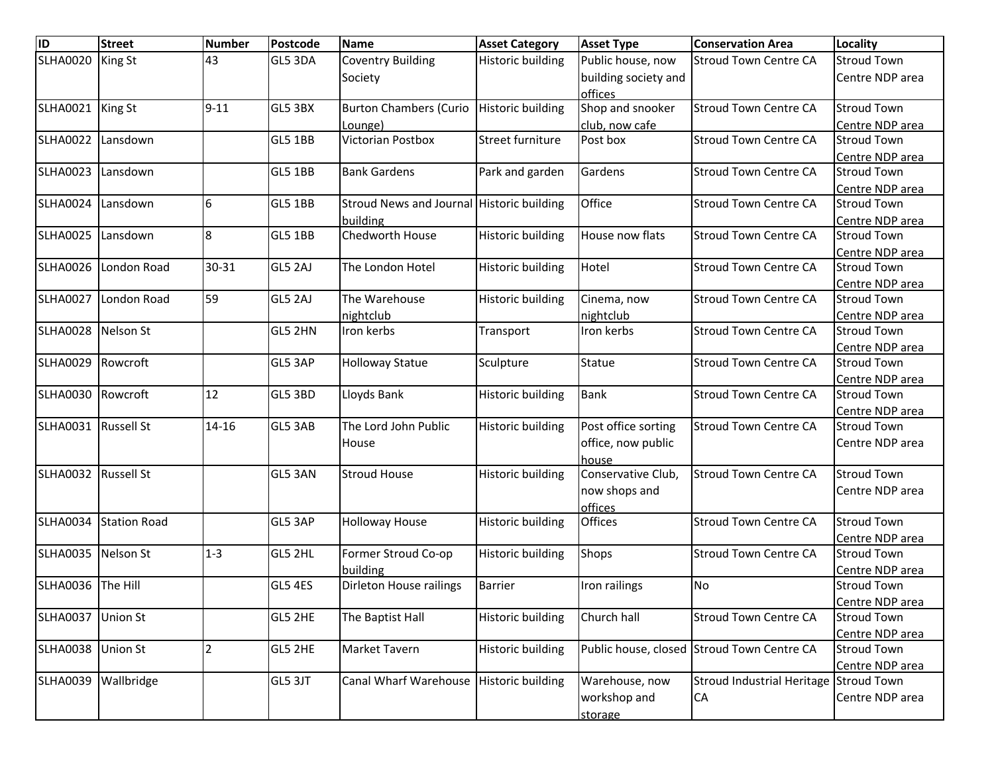| $\overline{ID}$     | <b>Street</b>       | <b>Number</b>  | Postcode       | <b>Name</b>                               | <b>Asset Category</b>    | <b>Asset Type</b>    | <b>Conservation Area</b>                   | Locality           |
|---------------------|---------------------|----------------|----------------|-------------------------------------------|--------------------------|----------------------|--------------------------------------------|--------------------|
| <b>SLHA0020</b>     | <b>King St</b>      | 43             | GL5 3DA        | <b>Coventry Building</b>                  | <b>Historic building</b> | Public house, now    | <b>Stroud Town Centre CA</b>               | <b>Stroud Town</b> |
|                     |                     |                |                | Society                                   |                          | building society and |                                            | Centre NDP area    |
|                     |                     |                |                |                                           |                          | offices              |                                            |                    |
| <b>SLHA0021</b>     | King St             | $9 - 11$       | GL5 3BX        | <b>Burton Chambers (Curio</b>             | <b>Historic building</b> | Shop and snooker     | <b>Stroud Town Centre CA</b>               | <b>Stroud Town</b> |
|                     |                     |                |                | Lounge)                                   |                          | club, now cafe       |                                            | Centre NDP area    |
| <b>SLHA0022</b>     | Lansdown            |                | GL5 1BB        | Victorian Postbox                         | Street furniture         | Post box             | <b>Stroud Town Centre CA</b>               | <b>Stroud Town</b> |
|                     |                     |                |                |                                           |                          |                      |                                            | Centre NDP area    |
| <b>SLHA0023</b>     | Lansdown            |                | <b>GL5 1BB</b> | <b>Bank Gardens</b>                       | Park and garden          | Gardens              | <b>Stroud Town Centre CA</b>               | <b>Stroud Town</b> |
|                     |                     |                |                |                                           |                          |                      |                                            | Centre NDP area    |
| <b>SLHA0024</b>     | Lansdown            | 6              | <b>GL5 1BB</b> | Stroud News and Journal Historic building |                          | Office               | <b>Stroud Town Centre CA</b>               | <b>Stroud Town</b> |
|                     |                     |                |                | building                                  |                          |                      |                                            | Centre NDP area    |
| <b>SLHA0025</b>     | Lansdown            | 8              | <b>GL5 1BB</b> | Chedworth House                           | <b>Historic building</b> | House now flats      | <b>Stroud Town Centre CA</b>               | <b>Stroud Town</b> |
|                     |                     |                |                |                                           |                          |                      |                                            | Centre NDP area    |
| <b>SLHA0026</b>     | London Road         | 30-31          | GL5 2AJ        | The London Hotel                          | <b>Historic building</b> | Hotel                | <b>Stroud Town Centre CA</b>               | <b>Stroud Town</b> |
|                     |                     |                |                |                                           |                          |                      |                                            | Centre NDP area    |
| <b>SLHA0027</b>     | London Road         | 59             | GL5 2AJ        | The Warehouse                             | <b>Historic building</b> | Cinema, now          | <b>Stroud Town Centre CA</b>               | <b>Stroud Town</b> |
|                     |                     |                |                | nightclub                                 |                          | nightclub            |                                            | Centre NDP area    |
| <b>SLHA0028</b>     | Nelson St           |                | GL5 2HN        | Iron kerbs                                | Transport                | Iron kerbs           | <b>Stroud Town Centre CA</b>               | <b>Stroud Town</b> |
|                     |                     |                |                |                                           |                          |                      |                                            | Centre NDP area    |
| <b>SLHA0029</b>     | Rowcroft            |                | GL5 3AP        | <b>Holloway Statue</b>                    | Sculpture                | Statue               | <b>Stroud Town Centre CA</b>               | <b>Stroud Town</b> |
|                     |                     |                |                |                                           |                          |                      |                                            | Centre NDP area    |
| <b>SLHA0030</b>     | Rowcroft            | 12             | GL5 3BD        | Lloyds Bank                               | <b>Historic building</b> | <b>Bank</b>          | <b>Stroud Town Centre CA</b>               | <b>Stroud Town</b> |
|                     |                     |                |                |                                           |                          |                      |                                            | Centre NDP area    |
| SLHA0031 Russell St |                     | $14 - 16$      | GL5 3AB        | The Lord John Public                      | <b>Historic building</b> | Post office sorting  | <b>Stroud Town Centre CA</b>               | <b>Stroud Town</b> |
|                     |                     |                |                | House                                     |                          | office, now public   |                                            | Centre NDP area    |
|                     |                     |                |                |                                           |                          | house                |                                            |                    |
| <b>SLHA0032</b>     | <b>Russell St</b>   |                | GL5 3AN        | <b>Stroud House</b>                       | <b>Historic building</b> | Conservative Club,   | <b>Stroud Town Centre CA</b>               | <b>Stroud Town</b> |
|                     |                     |                |                |                                           |                          | now shops and        |                                            | Centre NDP area    |
|                     |                     |                |                |                                           |                          | offices              |                                            |                    |
| <b>SLHA0034</b>     | <b>Station Road</b> |                | GL5 3AP        | <b>Holloway House</b>                     | <b>Historic building</b> | <b>Offices</b>       | <b>Stroud Town Centre CA</b>               | <b>Stroud Town</b> |
|                     |                     |                |                |                                           |                          |                      |                                            | Centre NDP area    |
| SLHA0035 Nelson St  |                     | $1 - 3$        | GL5 2HL        | Former Stroud Co-op                       | <b>Historic building</b> | Shops                | <b>Stroud Town Centre CA</b>               | <b>Stroud Town</b> |
|                     |                     |                |                | building                                  |                          |                      |                                            | Centre NDP area    |
| SLHA0036 The Hill   |                     |                | GL5 4ES        | Dirleton House railings                   | <b>Barrier</b>           | Iron railings        | <b>No</b>                                  | <b>Stroud Town</b> |
|                     |                     |                |                |                                           |                          |                      |                                            | Centre NDP area    |
| <b>SLHA0037</b>     | <b>Union St</b>     |                | GL5 2HE        | The Baptist Hall                          | <b>Historic building</b> | Church hall          | <b>Stroud Town Centre CA</b>               | <b>Stroud Town</b> |
|                     |                     |                |                |                                           |                          |                      |                                            | Centre NDP area    |
| <b>SLHA0038</b>     | <b>Union St</b>     | $\mathfrak{p}$ | GL5 2HE        | Market Tavern                             | <b>Historic building</b> |                      | Public house, closed Stroud Town Centre CA | <b>Stroud Town</b> |
|                     |                     |                |                |                                           |                          |                      |                                            | Centre NDP area    |
| <b>SLHA0039</b>     | Wallbridge          |                | GL5 3JT        | Canal Wharf Warehouse   Historic building |                          | Warehouse, now       | <b>Stroud Industrial Heritage</b>          | <b>Stroud Town</b> |
|                     |                     |                |                |                                           |                          | workshop and         | <b>CA</b>                                  | Centre NDP area    |
|                     |                     |                |                |                                           |                          | storage              |                                            |                    |